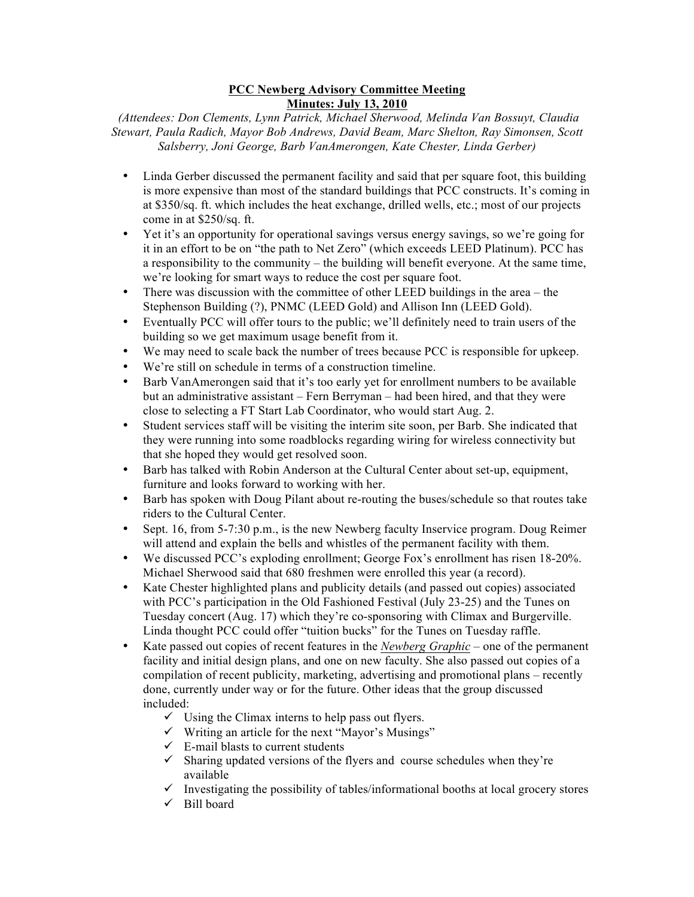## **PCC Newberg Advisory Committee Meeting Minutes: July 13, 2010**

*(Attendees: Don Clements, Lynn Patrick, Michael Sherwood, Melinda Van Bossuyt, Claudia Stewart, Paula Radich, Mayor Bob Andrews, David Beam, Marc Shelton, Ray Simonsen, Scott Salsberry, Joni George, Barb VanAmerongen, Kate Chester, Linda Gerber)*

- Linda Gerber discussed the permanent facility and said that per square foot, this building is more expensive than most of the standard buildings that PCC constructs. It's coming in at \$350/sq. ft. which includes the heat exchange, drilled wells, etc.; most of our projects come in at \$250/sq. ft.
- Yet it's an opportunity for operational savings versus energy savings, so we're going for it in an effort to be on "the path to Net Zero" (which exceeds LEED Platinum). PCC has a responsibility to the community – the building will benefit everyone. At the same time, we're looking for smart ways to reduce the cost per square foot.
- There was discussion with the committee of other LEED buildings in the area the Stephenson Building (?), PNMC (LEED Gold) and Allison Inn (LEED Gold).
- Eventually PCC will offer tours to the public; we'll definitely need to train users of the building so we get maximum usage benefit from it.
- We may need to scale back the number of trees because PCC is responsible for upkeep.
- We're still on schedule in terms of a construction timeline.
- Barb VanAmerongen said that it's too early yet for enrollment numbers to be available but an administrative assistant – Fern Berryman – had been hired, and that they were close to selecting a FT Start Lab Coordinator, who would start Aug. 2.
- Student services staff will be visiting the interim site soon, per Barb. She indicated that they were running into some roadblocks regarding wiring for wireless connectivity but that she hoped they would get resolved soon.
- Barb has talked with Robin Anderson at the Cultural Center about set-up, equipment, furniture and looks forward to working with her.
- Barb has spoken with Doug Pilant about re-routing the buses/schedule so that routes take riders to the Cultural Center.
- Sept. 16, from 5-7:30 p.m., is the new Newberg faculty Inservice program. Doug Reimer will attend and explain the bells and whistles of the permanent facility with them.
- We discussed PCC's exploding enrollment; George Fox's enrollment has risen 18-20%. Michael Sherwood said that 680 freshmen were enrolled this year (a record).
- Kate Chester highlighted plans and publicity details (and passed out copies) associated with PCC's participation in the Old Fashioned Festival (July 23-25) and the Tunes on Tuesday concert (Aug. 17) which they're co-sponsoring with Climax and Burgerville. Linda thought PCC could offer "tuition bucks" for the Tunes on Tuesday raffle.
- Kate passed out copies of recent features in the *Newberg Graphic* one of the permanent facility and initial design plans, and one on new faculty. She also passed out copies of a compilation of recent publicity, marketing, advertising and promotional plans – recently done, currently under way or for the future. Other ideas that the group discussed included:
	- $\checkmark$  Using the Climax interns to help pass out flyers.
	- $\checkmark$  Writing an article for the next "Mayor's Musings"
	- $\checkmark$  E-mail blasts to current students
	- $\checkmark$  Sharing updated versions of the flyers and course schedules when they're available
	- $\checkmark$  Investigating the possibility of tables/informational booths at local grocery stores
	- $\checkmark$  Bill board